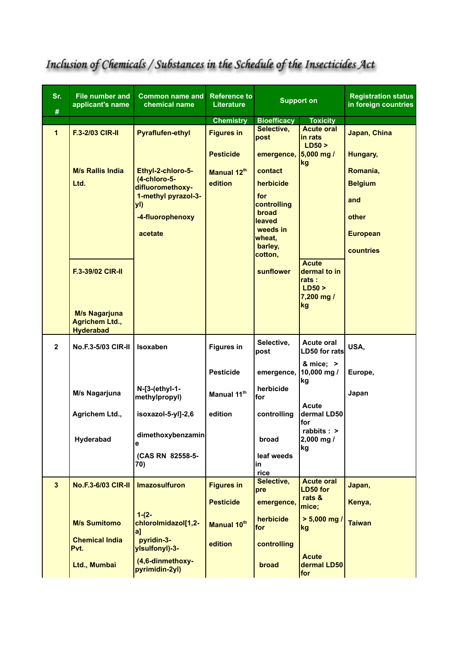| Sr.<br>#       | <b>File number and</b><br>applicant's name                        | <b>Common name and</b><br>chemical name | <b>Reference to</b><br><b>Literature</b> | <b>Support on</b>     |                                                  | <b>Registration status</b><br>in foreign countries |
|----------------|-------------------------------------------------------------------|-----------------------------------------|------------------------------------------|-----------------------|--------------------------------------------------|----------------------------------------------------|
|                |                                                                   |                                         | <b>Chemistry</b>                         | <b>Bioefficacy</b>    | <b>Toxicity</b>                                  |                                                    |
| $\mathbf{1}$   | <b>F.3-2/03 CIR-II</b>                                            | <b>Pyraflufen-ethyl</b>                 | <b>Figures in</b>                        | Selective,<br>post    | <b>Acute oral</b><br>in rats<br>LD50 >           | Japan, China                                       |
|                |                                                                   |                                         | <b>Pesticide</b>                         | emergence, 5,000 mg / | kg                                               | Hungary,                                           |
|                | <b>M/s Rallis India</b>                                           | Ethyl-2-chloro-5-                       | Manual 12th                              | contact               |                                                  | Romania,                                           |
|                | Ltd.                                                              | (4-chloro-5-<br>difluoromethoxy-        | edition                                  | herbicide<br>for      |                                                  | <b>Belgium</b>                                     |
|                |                                                                   | 1-methyl pyrazol-3-<br>yl)              |                                          | controlling<br>broad  |                                                  | and                                                |
|                |                                                                   | -4-fluorophenoxy                        |                                          | leaved                |                                                  | other                                              |
|                |                                                                   | acetate                                 |                                          | weeds in<br>wheat,    |                                                  | <b>European</b>                                    |
|                |                                                                   |                                         |                                          | barley,<br>cotton,    |                                                  | countries                                          |
|                | <b>F.3-39/02 CIR-II</b>                                           |                                         |                                          | sunflower             | <b>Acute</b><br>dermal to in<br>rats :<br>LD50 > |                                                    |
|                |                                                                   |                                         |                                          |                       | $7,200$ mg /                                     |                                                    |
|                | <b>M/s Nagarjuna</b><br><b>Agrichem Ltd.,</b><br><b>Hyderabad</b> |                                         |                                          |                       | kg                                               |                                                    |
| $\overline{2}$ | <b>No.F.3-5/03 CIR-II</b>                                         | <b>Isoxaben</b>                         | <b>Figures in</b>                        | Selective,<br>post    | <b>Acute oral</b><br>LD50 for rats               | USA,                                               |
|                |                                                                   |                                         | <b>Pesticide</b>                         | emergence,            | & mice; $>$<br>10,000 mg /<br>kg                 | Europe,                                            |
|                | M/s Nagarjuna                                                     | N-[3-(ethyl-1-<br>methylpropyl)         | Manual 11th                              | herbicide<br>for      |                                                  | Japan                                              |
|                | Agrichem Ltd.,                                                    | isoxazol-5-yl]-2,6                      | edition                                  | controlling           | Acute<br>dermal LD50<br>for                      |                                                    |
|                | Hyderabad                                                         | dimethoxybenzamin<br>е                  |                                          | broad                 | rabbits : ><br>2,000 mg /<br>kg                  |                                                    |
|                |                                                                   | (CAS RN 82558-5-<br>70)                 |                                          | leaf weeds<br>in      |                                                  |                                                    |
|                |                                                                   |                                         |                                          | rice<br>Selective,    |                                                  |                                                    |
| $\mathbf{3}$   | <b>No.F.3-6/03 CIR-II</b>                                         | <b>Imazosulfuron</b>                    | <b>Figures in</b>                        | pre                   | <b>Acute oral</b><br>LD50 for<br>rats &          | Japan,                                             |
|                |                                                                   | $1-(2-$                                 | <b>Pesticide</b>                         | emergence,            | mice;                                            | Kenya,                                             |
|                | <b>M/s Sumitomo</b>                                               | chlorolmidazol[1,2-<br> a               | Manual 10th                              | herbicide<br>for      | $> 5,000$ mg /<br>kg                             | <b>Taiwan</b>                                      |
|                | <b>Chemical India</b><br>Pvt.                                     | pyridin-3-<br>ylsulfonyl)-3-            | edition                                  | controlling           |                                                  |                                                    |
|                | Ltd., Mumbai                                                      | (4,6-dinmethoxy-<br>pyrimidin-2yl)      |                                          | broad                 | <b>Acute</b><br>dermal LD50<br> for              |                                                    |

## Inclusion of Chemicals / Substances in the Schedule of the Insecticides Act